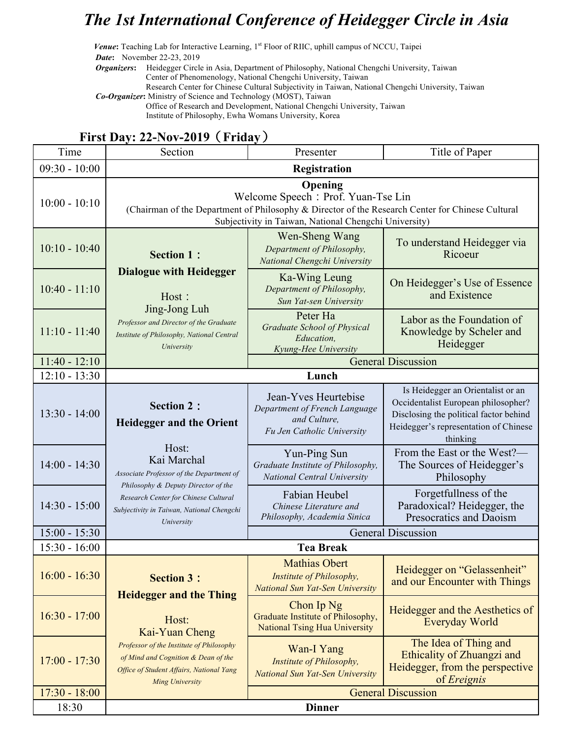## *The 1st International Conference of Heidegger Circle in Asia*

*Venue*: Teaching Lab for Interactive Learning, 1<sup>st</sup> Floor of RIIC, uphill campus of NCCU, Taipei *Date***:** November 22-23, 2019

*Organizers***:** Heidegger Circle in Asia, Department of Philosophy, National Chengchi University, Taiwan Center of Phenomenology, National Chengchi University, Taiwan Research Center for Chinese Cultural Subjectivity in Taiwan, National Chengchi University, Taiwan

*Co-Organizer***:** Ministry of Science and Technology (MOST), Taiwan Office of Research and Development, National Chengchi University, Taiwan

Institute of Philosophy, Ewha Womans University, Korea

## Time Section **Presenter** Presenter **Presenter** Title of Paper 09:30 - 10:00 **Registration** 10:00 - 10:10 **Opening** Welcome Speech: Prof. Yuan-Tse Lin (Chairman of the Department of Philosophy & Director of the Research Center for Chinese Cultural Subjectivity in Taiwan, National Chengchi University) 10:10 - 10:40 **Section 1**: **Dialogue with Heidegger** Host: Jing-Jong Luh *Professor and Director of the Graduate Institute of Philosophy, National Central University* Wen-Sheng Wang *Department of Philosophy, National Chengchi University* To understand Heidegger via Ricoeur 10:40 - 11:10 Ka-Wing Leung *Department of Philosophy, Sun Yat-sen University* On Heidegger's Use of Essence and Existence 11:10 - 11:40 Peter Ha *Graduate School of Physical Education, Kyung-Hee University* Labor as the Foundation of Knowledge by Scheler and Heidegger 11:40 - 12:10 General Discussion 12:10 - 13:30 **Lunch**  $13.30 - 14.00$ **Section 2**: **Heidegger and the Orient** Host: Kai Marchal *Associate Professor of the Department of Philosophy & Deputy Director of the Research Center for Chinese Cultural Subjectivity in Taiwan, National Chengchi University* Jean-Yves Heurtebise *Department of French Language and Culture, Fu Jen Catholic University* Is Heidegger an Orientalist or an Occidentalist European philosopher? Disclosing the political factor behind Heidegger's representation of Chinese thinking 14:00 - 14:30 Yun-Ping Sun *Graduate Institute of Philosophy, National Central University* From the East or the West?— The Sources of Heidegger's Philosophy 14:30 - 15:00 Fabian Heubel *Chinese Literature and Philosophy, Academia Sinica* Forgetfullness of the Paradoxical? Heidegger, the Presocratics and Daoism 15:00 - 15:30 General Discussion 15:30 - 16:00 **Tea Break** 16:00 - 16:30 **Section 3**: **Heidegger and the Thing** Host: Kai-Yuan Cheng *Professor of the Institute of Philosophy of Mind and Cognition & Dean of the Office of Student Affairs, National Yang Ming University* Mathias Obert *Institute of Philosophy, National Sun Yat-Sen University* Heidegger on "Gelassenheit" and our Encounter with Things 16:30 - 17:00 Chon Ip Ng Graduate Institute of Philosophy, National Tsing Hua University Heidegger and the Aesthetics of Everyday World 17:00 - 17:30 Wan-I Yang *Institute of Philosophy, National Sun Yat-Sen University* The Idea of Thing and Ethicality of Zhuangzi and Heidegger, from the perspective of *Ereignis* 17:30 - 18:00 General Discussion 18:30 **Dinner**

## **First Day: 22-Nov-2019**(**Friday**)